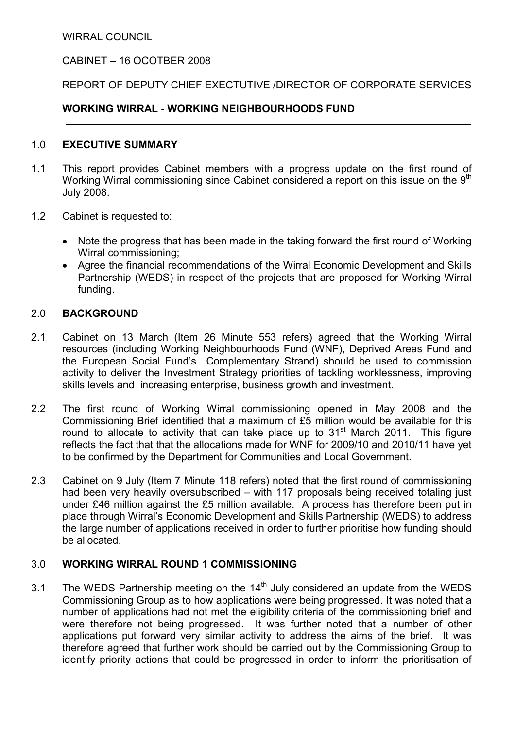WIRRAL COUNCIL

## CABINET – 16 OCOTBER 2008

### REPORT OF DEPUTY CHIEF EXECTUTIVE /DIRECTOR OF CORPORATE SERVICES

### WORKING WIRRAL - WORKING NEIGHBOURHOODS FUND

#### 1.0 EXECUTIVE SUMMARY

- 1.1 This report provides Cabinet members with a progress update on the first round of Working Wirral commissioning since Cabinet considered a report on this issue on the 9<sup>th</sup> July 2008.
- 1.2 Cabinet is requested to:
	- Note the progress that has been made in the taking forward the first round of Working Wirral commissioning;
	- Agree the financial recommendations of the Wirral Economic Development and Skills Partnership (WEDS) in respect of the projects that are proposed for Working Wirral funding.

### 2.0 BACKGROUND

- 2.1 Cabinet on 13 March (Item 26 Minute 553 refers) agreed that the Working Wirral resources (including Working Neighbourhoods Fund (WNF), Deprived Areas Fund and the European Social Fund's Complementary Strand) should be used to commission activity to deliver the Investment Strategy priorities of tackling worklessness, improving skills levels and increasing enterprise, business growth and investment.
- 2.2 The first round of Working Wirral commissioning opened in May 2008 and the Commissioning Brief identified that a maximum of £5 million would be available for this round to allocate to activity that can take place up to 31<sup>st</sup> March 2011. This figure reflects the fact that that the allocations made for WNF for 2009/10 and 2010/11 have yet to be confirmed by the Department for Communities and Local Government.
- 2.3 Cabinet on 9 July (Item 7 Minute 118 refers) noted that the first round of commissioning had been very heavily oversubscribed – with 117 proposals being received totaling just under £46 million against the £5 million available. A process has therefore been put in place through Wirral's Economic Development and Skills Partnership (WEDS) to address the large number of applications received in order to further prioritise how funding should be allocated.

#### 3.0 WORKING WIRRAL ROUND 1 COMMISSIONING

3.1 The WEDS Partnership meeting on the  $14<sup>th</sup>$  July considered an update from the WEDS Commissioning Group as to how applications were being progressed. It was noted that a number of applications had not met the eligibility criteria of the commissioning brief and were therefore not being progressed. It was further noted that a number of other applications put forward very similar activity to address the aims of the brief. It was therefore agreed that further work should be carried out by the Commissioning Group to identify priority actions that could be progressed in order to inform the prioritisation of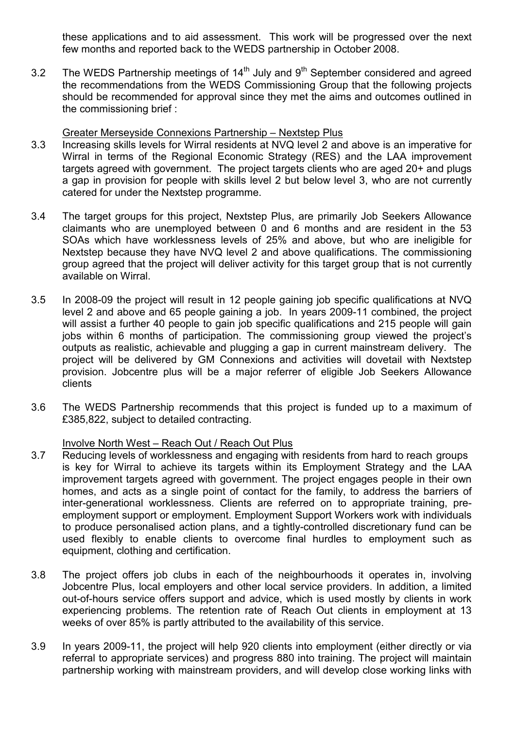these applications and to aid assessment. This work will be progressed over the next few months and reported back to the WEDS partnership in October 2008.

3.2 The WEDS Partnership meetings of  $14<sup>th</sup>$  July and  $9<sup>th</sup>$  September considered and agreed the recommendations from the WEDS Commissioning Group that the following projects should be recommended for approval since they met the aims and outcomes outlined in the commissioning brief :

#### Greater Merseyside Connexions Partnership – Nextstep Plus

- 3.3 Increasing skills levels for Wirral residents at NVQ level 2 and above is an imperative for Wirral in terms of the Regional Economic Strategy (RES) and the LAA improvement targets agreed with government. The project targets clients who are aged 20+ and plugs a gap in provision for people with skills level 2 but below level 3, who are not currently catered for under the Nextstep programme.
- 3.4 The target groups for this project, Nextstep Plus, are primarily Job Seekers Allowance claimants who are unemployed between 0 and 6 months and are resident in the 53 SOAs which have worklessness levels of 25% and above, but who are ineligible for Nextstep because they have NVQ level 2 and above qualifications. The commissioning group agreed that the project will deliver activity for this target group that is not currently available on Wirral.
- 3.5 In 2008-09 the project will result in 12 people gaining job specific qualifications at NVQ level 2 and above and 65 people gaining a job. In years 2009-11 combined, the project will assist a further 40 people to gain job specific qualifications and 215 people will gain jobs within 6 months of participation. The commissioning group viewed the project's outputs as realistic, achievable and plugging a gap in current mainstream delivery. The project will be delivered by GM Connexions and activities will dovetail with Nextstep provision. Jobcentre plus will be a major referrer of eligible Job Seekers Allowance clients
- 3.6 The WEDS Partnership recommends that this project is funded up to a maximum of £385,822, subject to detailed contracting.

#### Involve North West – Reach Out / Reach Out Plus

- 3.7 Reducing levels of worklessness and engaging with residents from hard to reach groups is key for Wirral to achieve its targets within its Employment Strategy and the LAA improvement targets agreed with government. The project engages people in their own homes, and acts as a single point of contact for the family, to address the barriers of inter-generational worklessness. Clients are referred on to appropriate training, preemployment support or employment. Employment Support Workers work with individuals to produce personalised action plans, and a tightly-controlled discretionary fund can be used flexibly to enable clients to overcome final hurdles to employment such as equipment, clothing and certification.
- 3.8 The project offers job clubs in each of the neighbourhoods it operates in, involving Jobcentre Plus, local employers and other local service providers. In addition, a limited out-of-hours service offers support and advice, which is used mostly by clients in work experiencing problems. The retention rate of Reach Out clients in employment at 13 weeks of over 85% is partly attributed to the availability of this service.
- 3.9 In years 2009-11, the project will help 920 clients into employment (either directly or via referral to appropriate services) and progress 880 into training. The project will maintain partnership working with mainstream providers, and will develop close working links with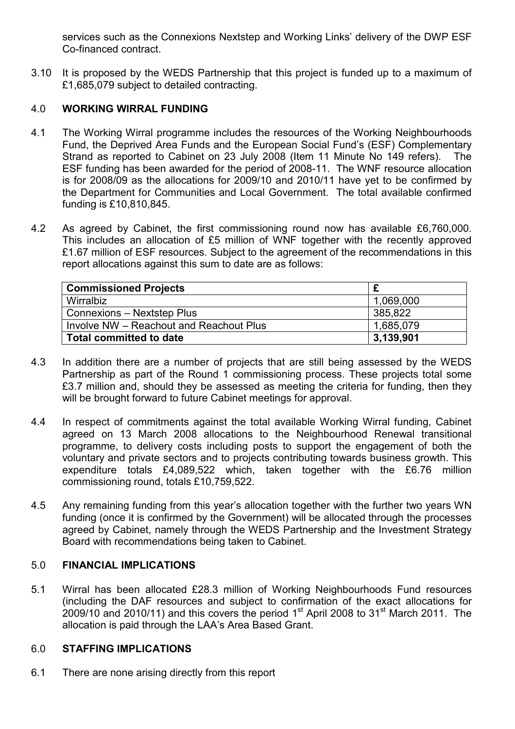services such as the Connexions Nextstep and Working Links' delivery of the DWP ESF Co-financed contract.

3.10 It is proposed by the WEDS Partnership that this project is funded up to a maximum of £1,685,079 subject to detailed contracting.

# 4.0 WORKING WIRRAL FUNDING

- 4.1 The Working Wirral programme includes the resources of the Working Neighbourhoods Fund, the Deprived Area Funds and the European Social Fund's (ESF) Complementary Strand as reported to Cabinet on 23 July 2008 (Item 11 Minute No 149 refers). The ESF funding has been awarded for the period of 2008-11. The WNF resource allocation is for 2008/09 as the allocations for 2009/10 and 2010/11 have yet to be confirmed by the Department for Communities and Local Government. The total available confirmed funding is £10,810,845.
- 4.2 As agreed by Cabinet, the first commissioning round now has available £6,760,000. This includes an allocation of £5 million of WNF together with the recently approved £1.67 million of ESF resources. Subject to the agreement of the recommendations in this report allocations against this sum to date are as follows:

| <b>Commissioned Projects</b>            |           |
|-----------------------------------------|-----------|
| Wirralbiz                               | 1,069,000 |
| Connexions - Nextstep Plus              | 385,822   |
| Involve NW - Reachout and Reachout Plus | 1,685,079 |
| <b>Total committed to date</b>          | 3,139,901 |

- 4.3 In addition there are a number of projects that are still being assessed by the WEDS Partnership as part of the Round 1 commissioning process. These projects total some £3.7 million and, should they be assessed as meeting the criteria for funding, then they will be brought forward to future Cabinet meetings for approval.
- 4.4 In respect of commitments against the total available Working Wirral funding, Cabinet agreed on 13 March 2008 allocations to the Neighbourhood Renewal transitional programme, to delivery costs including posts to support the engagement of both the voluntary and private sectors and to projects contributing towards business growth. This expenditure totals £4,089,522 which, taken together with the £6.76 million commissioning round, totals £10,759,522.
- 4.5 Any remaining funding from this year's allocation together with the further two years WN funding (once it is confirmed by the Government) will be allocated through the processes agreed by Cabinet, namely through the WEDS Partnership and the Investment Strategy Board with recommendations being taken to Cabinet.

### 5.0 FINANCIAL IMPLICATIONS

5.1 Wirral has been allocated £28.3 million of Working Neighbourhoods Fund resources (including the DAF resources and subject to confirmation of the exact allocations for  $2009/10$  and 2010/11) and this covers the period 1<sup>st</sup> April 2008 to 31<sup>st</sup> March 2011. The allocation is paid through the LAA's Area Based Grant.

#### 6.0 STAFFING IMPLICATIONS

6.1 There are none arising directly from this report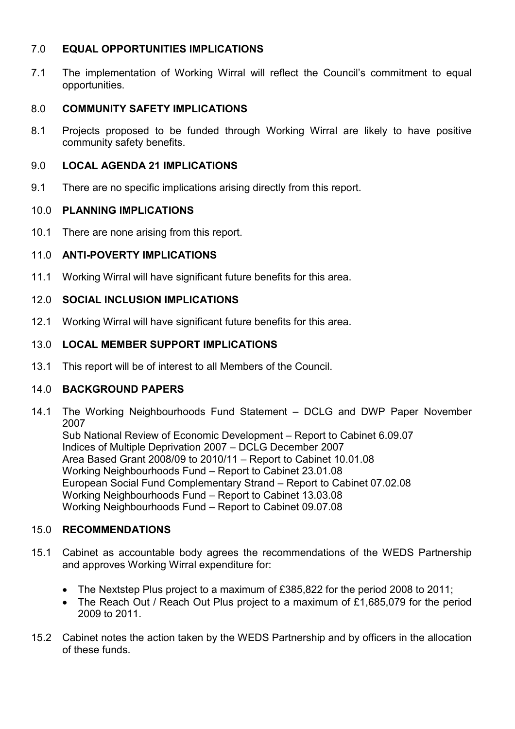## 7.0 EQUAL OPPORTUNITIES IMPLICATIONS

7.1 The implementation of Working Wirral will reflect the Council's commitment to equal opportunities.

## 8.0 COMMUNITY SAFETY IMPLICATIONS

8.1 Projects proposed to be funded through Working Wirral are likely to have positive community safety benefits.

## 9.0 LOCAL AGENDA 21 IMPLICATIONS

9.1 There are no specific implications arising directly from this report.

### 10.0 PLANNING IMPLICATIONS

10.1 There are none arising from this report.

# 11.0 ANTI-POVERTY IMPLICATIONS

11.1 Working Wirral will have significant future benefits for this area.

### 12.0 SOCIAL INCLUSION IMPLICATIONS

12.1 Working Wirral will have significant future benefits for this area.

### 13.0 LOCAL MEMBER SUPPORT IMPLICATIONS

13.1 This report will be of interest to all Members of the Council.

# 14.0 BACKGROUND PAPERS

14.1 The Working Neighbourhoods Fund Statement – DCLG and DWP Paper November 2007

 Sub National Review of Economic Development – Report to Cabinet 6.09.07 Indices of Multiple Deprivation 2007 – DCLG December 2007 Area Based Grant 2008/09 to 2010/11 – Report to Cabinet 10.01.08 Working Neighbourhoods Fund – Report to Cabinet 23.01.08 European Social Fund Complementary Strand – Report to Cabinet 07.02.08 Working Neighbourhoods Fund – Report to Cabinet 13.03.08 Working Neighbourhoods Fund – Report to Cabinet 09.07.08

#### 15.0 RECOMMENDATIONS

- 15.1 Cabinet as accountable body agrees the recommendations of the WEDS Partnership and approves Working Wirral expenditure for:
	- The Nextstep Plus project to a maximum of £385,822 for the period 2008 to 2011;
	- The Reach Out / Reach Out Plus project to a maximum of £1,685,079 for the period 2009 to 2011.
- 15.2 Cabinet notes the action taken by the WEDS Partnership and by officers in the allocation of these funds.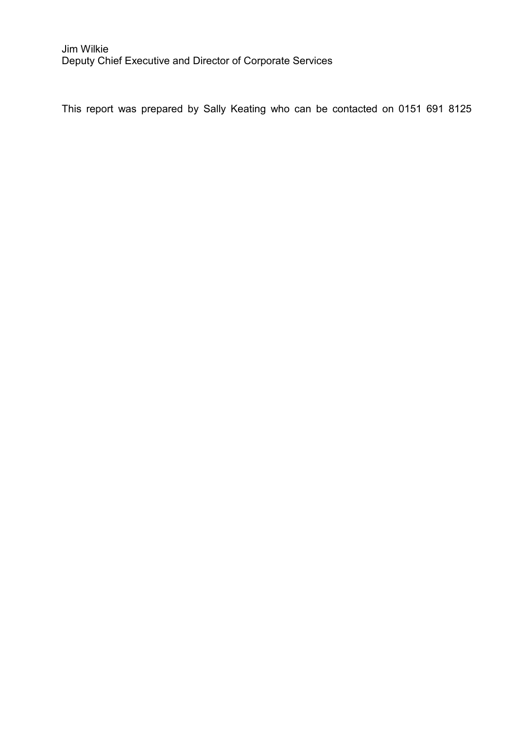This report was prepared by Sally Keating who can be contacted on 0151 691 8125